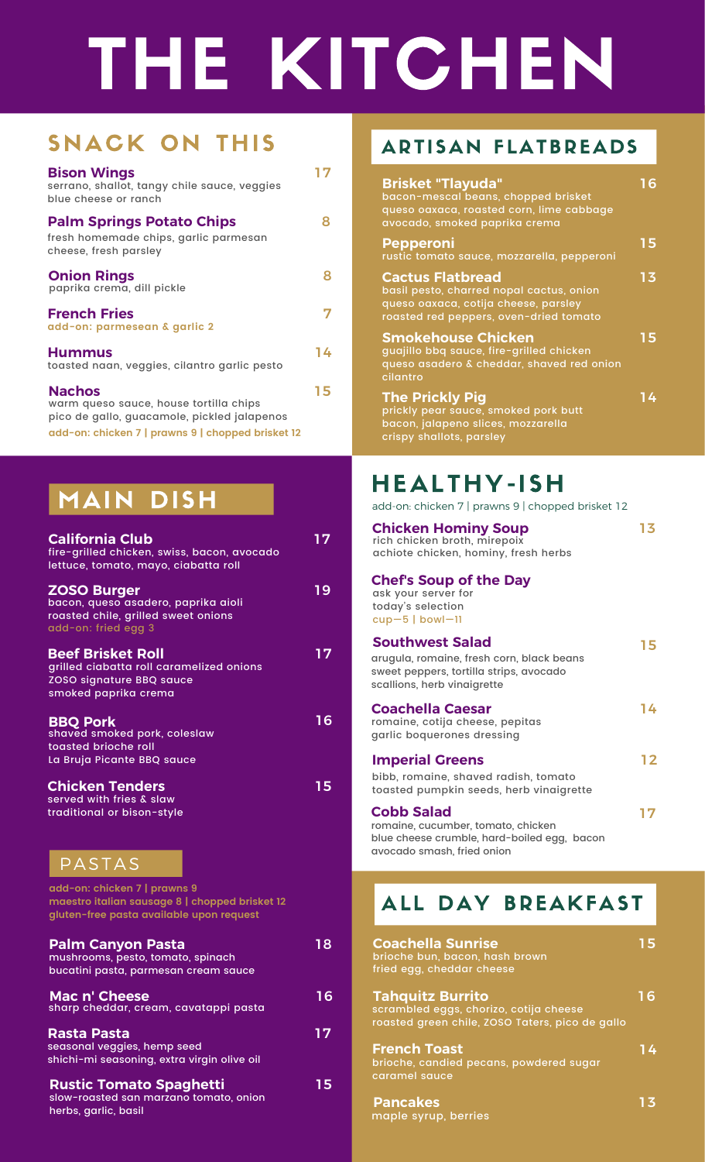# THE KITCHEN

### SNACK ON THIS

| <b>Bison Wings</b><br>serrano, shallot, tangy chile sauce, veggies<br>blue cheese or ranch             | 17 |
|--------------------------------------------------------------------------------------------------------|----|
| <b>Palm Springs Potato Chips</b><br>fresh homemade chips, garlic parmesan<br>cheese, fresh parsley     | Զ  |
| <b>Onion Rings</b><br>paprika crema, dill pickle                                                       | Զ  |
| <b>French Fries</b><br>add-on: parmesean & garlic 2                                                    | 7  |
| <b>Hummus</b><br>toasted naan, veggies, cilantro garlic pesto                                          | 14 |
| <b>Nachos</b><br>warm queso sauce, house tortilla chips<br>pico de gallo, guacamole, pickled jalapenos | 15 |

**add-on: chicken 7 | prawns 9 | chopped brisket 12**

### **MAIN DISH**

| <b>California Club</b><br>fire-grilled chicken, swiss, bacon, avocado<br>lettuce, tomato, mayo, ciabatta roll              | $\overline{17}$ |
|----------------------------------------------------------------------------------------------------------------------------|-----------------|
| <b>ZOSO Burger</b><br>bacon, queso asadero, paprika aioli<br>roasted chile, grilled sweet onions<br>add-on: fried egg 3    | 19              |
| <b>Beef Brisket Roll</b><br>grilled ciabatta roll caramelized onions<br>ZOSO signature BBQ sauce<br>smoked paprika crema   | 17              |
| <b>BBO Pork</b><br>shaved smoked pork, coleslaw<br>toasted brioche roll<br>La Bruja Picante BBQ sauce                      | 16              |
| <b>Chicken Tenders</b><br>served with fries & slaw<br>traditional or bison-style                                           | 15              |
| PASTAS                                                                                                                     |                 |
| add-on: chicken 7   prawns 9<br>maestro italian sausage 8   chopped brisket 12<br>gluten-free pasta available upon request |                 |
| <b>Palm Canyon Pasta</b><br>mushrooms, pesto, tomato, spinach<br>bucatini pasta, parmesan cream sauce                      | 18              |
| Mac n' Cheese<br>sharp cheddar, cream, cavatappi pasta                                                                     | 16              |
| <b>Rasta Pasta</b><br>seasonal veggies, hemp seed<br>shichi-mi seasoning, extra virgin olive oil                           | 17              |
| <b>Rustic Tomato Spaghetti</b><br>slow-roasted san marzano tomato, onion<br>herbs, garlic, basil                           | 15              |

### **ARTISAN FLATBREADS**

| <b>Brisket "Tlayuda"</b><br>bacon-mescal beans, chopped brisket<br>queso oaxaca, roasted corn, lime cabbage<br>avocado, smoked paprika crema          | 16 |
|-------------------------------------------------------------------------------------------------------------------------------------------------------|----|
| <b>Pepperoni</b><br>rustic tomato sauce, mozzarella, pepperoni                                                                                        | 15 |
| <b>Cactus Flatbread</b><br>basil pesto, charred nopal cactus, onion<br>queso oaxaca, cotija cheese, parsley<br>roasted red peppers, oven-dried tomato | 13 |
| <b>Smokehouse Chicken</b><br>guajillo bbq sauce, fire-grilled chicken<br>queso asadero & cheddar, shaved red onion<br>cilantro                        | 15 |
| <b>The Prickly Pig</b><br>prickly pear sauce, smoked pork butt<br>bacon, jalapeno slices, mozzarella<br>crispy shallots, parsley                      | 14 |

### HEALTHY-ISH

| <b>California Club</b><br>fire-grilled chicken, swiss, bacon, avocado<br>lettuce, tomato, mayo, ciabatta roll            | 17 <sub>2</sub> | <b>Chicken Hominy Soup</b> rich chicken broth, mirepoix<br>achiote chicken, hominy, fresh herbs                                               | 13 <sub>1</sub> |
|--------------------------------------------------------------------------------------------------------------------------|-----------------|-----------------------------------------------------------------------------------------------------------------------------------------------|-----------------|
| <b>ZOSO Burger</b><br>bacon, queso asadero, paprika aioli<br>roasted chile, grilled sweet onions<br>add-on: fried egg 3  | 19              | <b>Chef's Soup of the Day</b><br>ask your server for<br>today's selection<br>$cup-5$   bowl-11                                                |                 |
| <b>Beef Brisket Roll</b><br>grilled ciabatta roll caramelized onions<br>ZOSO signature BBQ sauce<br>smoked paprika crema | 17              | <b>Southwest Salad</b><br>arugula, romaine, fresh corn, black beans<br>sweet peppers, tortilla strips, avocado<br>scallions, herb vinaigrette | 15              |
| <b>BBQ Pork</b><br>shaved smoked pork, coleslaw<br>toasted brioche roll                                                  | 16              | <b>Coachella Caesar</b><br>romaine, cotija cheese, pepitas<br>garlic boquerones dressing                                                      | 14              |
| La Bruja Picante BBQ sauce<br><b>Chicken Tenders</b>                                                                     | 15              | <b>Imperial Greens</b><br>bibb, romaine, shaved radish, tomato<br>toasted pumpkin seeds, herb vinaigrette                                     | 12 <sub>2</sub> |
| served with fries & slaw<br>traditional or bison-style<br><b>PASTAS</b>                                                  |                 | <b>Cobb Salad</b><br>romaine, cucumber, tomato, chicken<br>blue cheese crumble, hard-boiled egg, bacon<br>avocado smash, fried onion          | 17              |
| add-on: chicken 7   prawns 9<br>maestro italian sausage 8   chopped brisket 12                                           |                 | DAY BREAKFAST                                                                                                                                 |                 |

| <b>Coachella Sunrise</b><br>brioche bun, bacon, hash brown                                                                                        | 15 |
|---------------------------------------------------------------------------------------------------------------------------------------------------|----|
| fried egg, cheddar cheese<br><b>Tahquitz Burrito</b><br>scrambled eggs, chorizo, cotija cheese<br>roasted green chile, ZOSO Taters, pico de gallo | 16 |
| <b>French Toast</b><br>brioche, candied pecans, powdered sugar<br>caramel sauce                                                                   | 14 |
| <b>Pancakes</b><br>maple syrup, berries                                                                                                           | 13 |